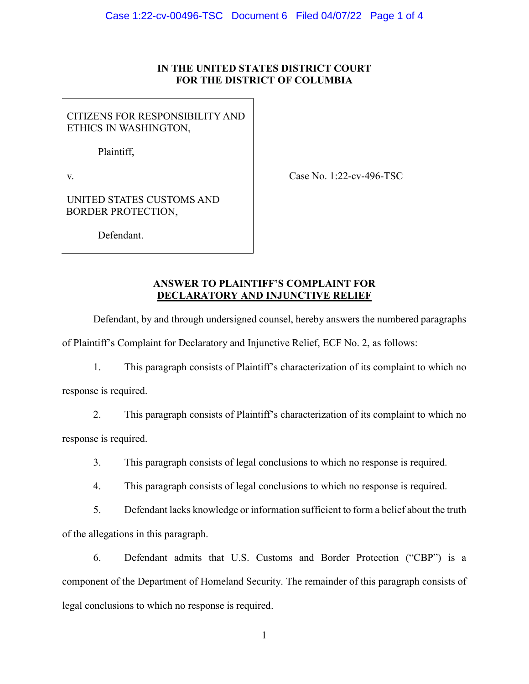## **IN THE UNITED STATES DISTRICT COURT FOR THE DISTRICT OF COLUMBIA**

## CITIZENS FOR RESPONSIBILITY AND ETHICS IN WASHINGTON,

Plaintiff,

v.

Case No. 1:22-cv-496-TSC

UNITED STATES CUSTOMS AND BORDER PROTECTION,

Defendant.

# **ANSWER TO PLAINTIFF'S COMPLAINT FOR DECLARATORY AND INJUNCTIVE RELIEF**

Defendant, by and through undersigned counsel, hereby answers the numbered paragraphs of Plaintiff's Complaint for Declaratory and Injunctive Relief, ECF No. 2, as follows:

1. This paragraph consists of Plaintiff's characterization of its complaint to which no response is required.

2. This paragraph consists of Plaintiff's characterization of its complaint to which no response is required.

3. This paragraph consists of legal conclusions to which no response is required.

4. This paragraph consists of legal conclusions to which no response is required.

5. Defendant lacks knowledge or information sufficient to form a belief about the truth of the allegations in this paragraph.

6. Defendant admits that U.S. Customs and Border Protection ("CBP") is a component of the Department of Homeland Security. The remainder of this paragraph consists of legal conclusions to which no response is required.

1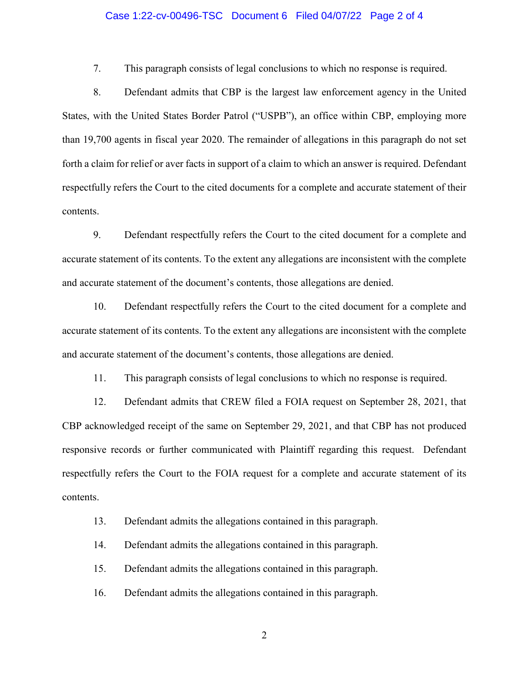### Case 1:22-cv-00496-TSC Document 6 Filed 04/07/22 Page 2 of 4

7. This paragraph consists of legal conclusions to which no response is required.

8. Defendant admits that CBP is the largest law enforcement agency in the United States, with the United States Border Patrol ("USPB"), an office within CBP, employing more than 19,700 agents in fiscal year 2020. The remainder of allegations in this paragraph do not set forth a claim for relief or aver facts in support of a claim to which an answer is required. Defendant respectfully refers the Court to the cited documents for a complete and accurate statement of their contents.

9. Defendant respectfully refers the Court to the cited document for a complete and accurate statement of its contents. To the extent any allegations are inconsistent with the complete and accurate statement of the document's contents, those allegations are denied.

10. Defendant respectfully refers the Court to the cited document for a complete and accurate statement of its contents. To the extent any allegations are inconsistent with the complete and accurate statement of the document's contents, those allegations are denied.

11. This paragraph consists of legal conclusions to which no response is required.

12. Defendant admits that CREW filed a FOIA request on September 28, 2021, that CBP acknowledged receipt of the same on September 29, 2021, and that CBP has not produced responsive records or further communicated with Plaintiff regarding this request. Defendant respectfully refers the Court to the FOIA request for a complete and accurate statement of its contents.

13. Defendant admits the allegations contained in this paragraph.

14. Defendant admits the allegations contained in this paragraph.

15. Defendant admits the allegations contained in this paragraph.

16. Defendant admits the allegations contained in this paragraph.

2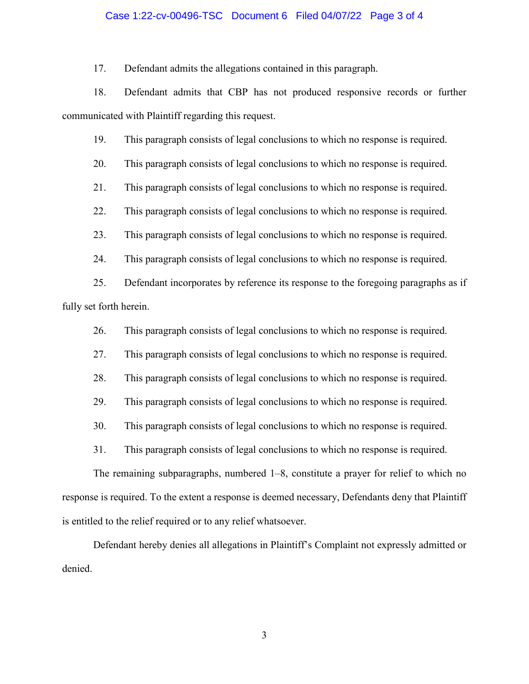#### Case 1:22-cv-00496-TSC Document 6 Filed 04/07/22 Page 3 of 4

17. Defendant admits the allegations contained in this paragraph.

18. Defendant admits that CBP has not produced responsive records or further communicated with Plaintiff regarding this request.

19. This paragraph consists of legal conclusions to which no response is required.

20. This paragraph consists of legal conclusions to which no response is required.

21. This paragraph consists of legal conclusions to which no response is required.

22. This paragraph consists of legal conclusions to which no response is required.

23. This paragraph consists of legal conclusions to which no response is required.

24. This paragraph consists of legal conclusions to which no response is required.

25. Defendant incorporates by reference its response to the foregoing paragraphs as if fully set forth herein.

26. This paragraph consists of legal conclusions to which no response is required.

27. This paragraph consists of legal conclusions to which no response is required.

28. This paragraph consists of legal conclusions to which no response is required.

29. This paragraph consists of legal conclusions to which no response is required.

30. This paragraph consists of legal conclusions to which no response is required.

31. This paragraph consists of legal conclusions to which no response is required.

The remaining subparagraphs, numbered 1–8, constitute a prayer for relief to which no response is required. To the extent a response is deemed necessary, Defendants deny that Plaintiff is entitled to the relief required or to any relief whatsoever.

Defendant hereby denies all allegations in Plaintiff's Complaint not expressly admitted or denied.

3